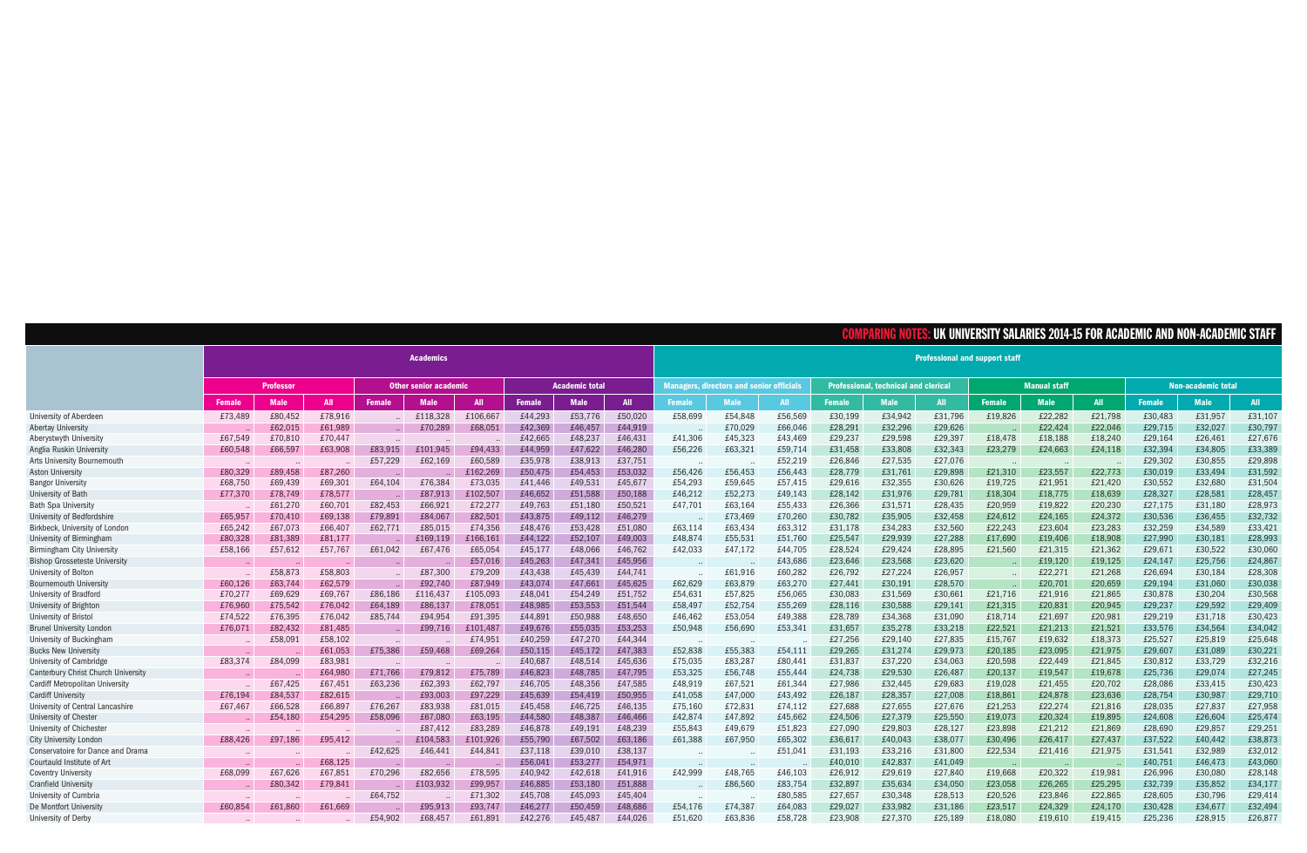|                                            |                  |             |            |                              |                  |            |                       |             |            |                                                 |             |            |                                             |             |         |                     | JNIVERSITY SALARIES 2014-15 FOR ACADEMIC AND N( |            |                    | N-ACADEMIC STAFF |            |  |  |
|--------------------------------------------|------------------|-------------|------------|------------------------------|------------------|------------|-----------------------|-------------|------------|-------------------------------------------------|-------------|------------|---------------------------------------------|-------------|---------|---------------------|-------------------------------------------------|------------|--------------------|------------------|------------|--|--|
|                                            |                  |             |            |                              | <b>Academics</b> |            |                       |             |            | <b>Professional and support staff</b>           |             |            |                                             |             |         |                     |                                                 |            |                    |                  |            |  |  |
|                                            | <b>Professor</b> |             |            | <b>Other senior academic</b> |                  |            | <b>Academic total</b> |             |            | <b>Managers, directors and senior officials</b> |             |            | <b>Professional, technical and clerical</b> |             |         | <b>Manual staff</b> |                                                 |            | Non-academic total |                  |            |  |  |
|                                            | <b>Female</b>    | <b>Male</b> | <b>All</b> | <b>Female</b>                | <b>Male</b>      | <b>All</b> | <b>Female</b>         | <b>Male</b> | <b>All</b> | <b>Female</b>                                   | <b>Male</b> | <b>All</b> | <b>Female</b>                               | <b>Male</b> | All     | <b>Female</b>       | <b>Male</b>                                     | <b>All</b> | <b>Female</b>      | <b>Male</b>      | <b>All</b> |  |  |
| University of Aberdeen                     | £73,489          | £80,452     | £78,916    |                              | £118,328         | £106,667   | £44,293               | £53,776     | £50,020    | £58,699                                         | £54,848     | £56,569    | £30,199                                     | £34,942     | £31,796 | £19,826             | £22.282                                         | £21,798    | £30,483            | £31,957          | £31,107    |  |  |
| <b>Abertay University</b>                  |                  | £62,015     | £61,989    |                              | £70,289          | £68,051    | £42,369               | £46,457     | £44,919    |                                                 | £70,029     | £66,046    | £28,291                                     | £32,296     | £29,626 |                     | £22,424                                         | £22,046    | £29,715            | £32,027          | £30,797    |  |  |
| Aberystwyth University                     | £67,549          | £70,810     | £70,447    |                              |                  |            | £42,665               | £48,237     | £46,431    | £41,306                                         | £45,323     | £43,469    | £29,237                                     | £29,598     | £29,397 | £18,478             | £18,188                                         | £18,240    | £29,164            | £26,461          | £27,676    |  |  |
| Anglia Ruskin University                   | £60,548          | £66,597     | £63,908    | £83,915                      | £101,945         | £94,433    | £44,959               | £47,622     | £46,280    | £56,226                                         | £63,321     | £59,714    | £31,458                                     | £33,808     | £32,343 | £23,279             | £24,663                                         | £24,118    | £32,394            | £34,805          | £33,389    |  |  |
| <b>Arts University Bournemouth</b>         |                  |             |            | £57,229                      | £62,169          | £60,589    | £35,978               | £38,913     | £37,751    |                                                 |             | £52,219    | £26,846                                     | £27,535     | £27,076 |                     |                                                 |            | £29,302            | £30,855          | £29,898    |  |  |
| <b>Aston University</b>                    | £80,329          | £89,458     | £87,260    |                              |                  | £162,269   | £50,475               | £54,453     | £53,032    | £56,426                                         | £56,453     | £56,443    | £28,779                                     | £31,761     | £29,898 | £21,310             | £23,557                                         | £22,773    | £30,019            | £33,494          | £31,592    |  |  |
| <b>Bangor University</b>                   | £68,750          | £69,439     | £69,301    | £64,104                      | £76,384          | £73,035    | £41,446               | £49,531     | £45,677    | £54,293                                         | £59,645     | £57,415    | £29,616                                     | £32,355     | £30,626 | £19,725             | £21,951                                         | £21,420    | £30,552            | £32,680          | £31,504    |  |  |
| University of Bath                         | £77,370          | £78,749     | £78,577    |                              | £87,913          | £102,507   | £46,652               | £51,588     | £50,188    | £46,212                                         | £52,273     | £49,143    | £28,142                                     | £31,976     | £29,781 | £18,304             | £18,775                                         | £18,639    | £28,327            | £28,581          | £28,457    |  |  |
| Bath Spa University                        |                  | £61,270     | £60,701    | £82,453                      | £66,921          | £72,277    | £49,763               | £51,180     | £50,521    | £47,701                                         | £63,164     | £55,433    | £26,366                                     | £31,571     | £28,435 | £20,959             | £19,822                                         | £20,230    | £27,175            | £31,180          | £28,973    |  |  |
| University of Bedfordshire                 | £65,957          | £70,410     | £69,138    | £79,891                      | £84,067          | £82,501    | £43,875               | £49,112     | £46,279    |                                                 | £73,469     | £70,260    | £30,782                                     | £35,905     | £32,458 | £24,612             | £24,165                                         | £24,372    | £30,536            | £36,455          | £32,732    |  |  |
| Birkbeck, University of London             | £65,242          | £67,073     | £66,407    | £62,771                      | £85,015          | £74,356    | £48,476               | £53,428     | £51,080    | £63,114                                         | £63,434     | £63,312    | £31,178                                     | £34,283     | £32,560 | £22,243             | £23,604                                         | £23,283    | £32,259            | £34,589          | £33,421    |  |  |
| University of Birmingham                   | £80,328          | £81,389     | £81,177    |                              | £169.119         | £166.161   | £44,122               | £52,107     | £49,003    | £48,874                                         | £55,531     | £51,760    | £25,547                                     | £29,939     | £27,288 | £17,690             | £19,406                                         | £18,908    | £27,990            | £30,181          | £28,993    |  |  |
| Birmingham City University                 | £58,166          | £57,612     | £57,767    | £61,042                      | £67,476          | £65,054    | £45,177               | £48,066     | £46,762    | £42,033                                         | £47,172     | £44,705    | £28,524                                     | £29,424     | £28,895 | £21,560             | £21,315                                         | £21,362    | £29,671            | £30,522          | £30,060    |  |  |
| <b>Bishop Grosseteste University</b>       |                  |             |            |                              |                  | £57,016    | £45,263               | £47,341     | £45,956    |                                                 |             | £43,686    | £23,646                                     | £23,568     | £23,620 |                     | £19,120                                         | £19,125    | £24,147            | £25,756          | £24,867    |  |  |
| University of Bolton                       |                  | £58,873     | £58,803    |                              | £87,300          | £79,209    | £43,438               | £45,439     | £44,741    |                                                 | £61,916     | £60,282    | £26,792                                     | £27,224     | £26,957 |                     | £22,271                                         | £21,268    | £26,694            | £30,184          | £28,308    |  |  |
| <b>Bournemouth University</b>              | £60,126          | £63,744     | £62,579    |                              | £92,740          | £87,949    | £43,074               | £47,661     | £45,625    | £62,629                                         | £63,879     | £63,270    | £27.441                                     | £30,191     | £28,570 |                     | £20,701                                         | £20,659    | £29,194            | £31,060          | £30,038    |  |  |
| University of Bradford                     | £70,277          | £69,629     | £69,767    | £86,186                      | £116,437         | £105,093   | £48,041               | £54,249     | £51,752    | £54,631                                         | £57,825     | £56,065    | £30,083                                     | £31,569     | £30,661 | £21,716             | £21,916                                         | £21,865    | £30,878            | £30,204          | £30,568    |  |  |
| University of Brighton                     | £76,960          | £75,542     | £76,042    | £64,189                      | £86,137          | £78,051    | £48,985               | £53,553     | £51,544    | £58,497                                         | £52,754     | £55,269    | £28,116                                     | £30,588     | £29,141 | £21,315             | £20,831                                         | £20,945    | £29,237            | £29,592          | £29,409    |  |  |
| University of Bristol                      | £74,522          | £76,395     | £76,042    | £85,744                      | £94,954          | £91,395    | £44,891               | £50,988     | £48,650    | £46,462                                         | £53,054     | £49,388    | £28,789                                     | £34,368     | £31,090 | £18,714             | £21,697                                         | £20,981    | £29,219            | £31,718          | £30,423    |  |  |
| <b>Brunel University Londor</b>            | £76,071          | £82,432     | £81,485    |                              | £99,716          | £101,487   | £49,676               | £55,035     | £53,253    | £50,948                                         | £56,690     | £53,341    | £31,657                                     | £35,278     | £33,218 | £22,521             | £21,213                                         | £21,521    | £33,576            | £34,564          | £34,042    |  |  |
| University of Buckingham                   |                  | £58,091     | £58,102    |                              |                  | £74,951    | £40,259               | £47,270     | £44,344    |                                                 |             |            | £27,256                                     | £29,140     | £27,835 | £15,767             | £19,632                                         | £18,373    | £25,527            | £25,819          | £25,648    |  |  |
| <b>Bucks New University</b>                |                  |             | £61,053    | £75,386                      | £59,468          | £69,264    | £50,115               | £45,172     | £47,383    | £52,838                                         | £55,383     | £54,111    | £29,265                                     | £31,274     | £29,973 | £20,185             | £23.095                                         | £21,975    | £29,607            | £31,089          | £30,221    |  |  |
| University of Cambridge                    | £83,374          | £84,099     | £83,981    |                              |                  |            | £40,687               | £48,514     | £45,636    | £75,035                                         | £83,287     | £80,441    | £31,837                                     | £37,220     | £34,063 | £20,598             | £22,449                                         | £21,845    | £30,812            | £33,729          | £32,216    |  |  |
| <b>Canterbury Christ Church University</b> |                  |             | £64,980    | £71,766                      | £79,812          | £75,789    | £46,823               | £48,785     | £47,795    | £53,325                                         | £56,748     | £55,444    | £24,738                                     | £29,530     | £26,487 | £20,137             | £19,547                                         | £19,678    | £25,736            | £29,074          | £27,245    |  |  |
| <b>Cardiff Metropolitan University</b>     |                  | £67,425     | £67,451    | £63,236                      | £62,393          | £62,797    | £46,705               | £48,356     | £47.585    | £48,919                                         | £67,521     | £61,344    | £27,986                                     | £32,445     | £29,683 | £19,028             | £21,455                                         | £20,702    | £28,086            | £33,415          | £30,423    |  |  |
| Cardiff University                         | £76,194          | £84,537     | £82,615    |                              | £93,003          | £97,229    | £45,639               | £54,419     | £50,955    | £41,058                                         | £47,000     | £43,492    | £26,187                                     | £28,357     | £27,008 | £18,861             | £24,878                                         | £23,636    | £28,754            | £30,987          | £29,710    |  |  |
| University of Central Lancashire           | £67,467          | £66,528     | £66,897    | £76,267                      | £83,938          | £81,015    | £45,458               | £46,725     | £46,135    | £75,160                                         | £72,831     | £74,112    | £27,688                                     | £27,655     | £27,676 | £21,253             | £22,274                                         | £21,816    | £28,035            | £27,837          | £27,958    |  |  |
| University of Chester                      |                  | £54,180     | £54,295    | £58,096                      | £67,080          | £63,195    | £44,580               | £48,387     | £46,466    | £42,874                                         | £47,892     | £45,662    | £24,506                                     | £27,379     | £25,550 | £19,073             | £20,324                                         | £19,895    | £24,608            | £26,604          | £25,474    |  |  |
| University of Chichester                   |                  |             |            |                              | £87.412          | £83,289    | £46,878               | £49,191     | £48,239    | £55,843                                         | £49,679     | £51,823    | £27,090                                     | £29,803     | £28,127 | £23,898             | £21,212                                         | £21,869    | £28,690            | £29,857          | £29,251    |  |  |
| <b>City University London</b>              | £88,426          | £97,186     | £95,412    |                              | £104,583         | £101,926   | £55,790               | £67,502     | £63,186    | £61,388                                         | £67,950     | £65,302    | £36,617                                     | £40,043     | £38,077 | £30,496             | £26,417                                         | £27,437    | £37,522            | £40,442          | £38,873    |  |  |
| Conservatoire for Dance and Drama          |                  |             |            | £42,625                      | £46,441          | £44,841    | £37,118               | £39,010     | £38,137    |                                                 |             | £51,041    | £31,193                                     | £33,216     | £31,800 | £22,534             | £21,416                                         | £21,975    | £31,541            | £32,989          | £32,012    |  |  |
| Courtauld Institute of Art                 |                  |             | £68,125    |                              |                  |            | £56,041               | £53,277     | £54,971    |                                                 |             |            | £40,010                                     | £42,837     | £41,049 |                     |                                                 |            | £40,751            | £46,473          | £43,060    |  |  |
| <b>Coventry University</b>                 | £68,099          | £67,626     | £67,851    | £70,296                      | £82,656          | £78,595    | £40,942               | £42,618     | £41.916    | £42,999                                         | £48,765     | £46,103    | £26,912                                     | £29,619     | £27,840 | £19,668             | £20,322                                         | £19,981    | £26,996            | £30,080          | £28,148    |  |  |
| <b>Cranfield University</b>                |                  | £80,342     | £79,841    |                              | £103,932         | £99,957    | £46,885               | £53,180     | £51,888    |                                                 | £86,560     | £83,754    | £32,897                                     | £35,634     | £34,050 | £23,058             | £26,265                                         | £25,295    | £32,739            | £35,852          | £34,177    |  |  |
| University of Cumbria                      |                  |             |            | £64,752                      |                  | £71,302    | £45,708               | £45,093     | £45,404    |                                                 |             | £80,585    | £27,657                                     | £30,348     | £28,513 | £20,526             | £23,846                                         | £22,865    | £28,605            | £30,796          | £29,414    |  |  |
| De Montfort University                     | £60,854          | £61,860     | £61,669    |                              | £95,913          | £93,747    | £46,277               | £50,459     | £48,686    | £54,176                                         | £74,387     | £64,083    | £29,027                                     | £33,982     | £31,186 | £23,517             | £24,329                                         | £24,170    | £30,428            | £34,677          | £32,494    |  |  |
| University of Derby                        |                  |             |            | £54.902                      | £68,457          | £61,891    | £42,276               | £45,487     | £44,026    | £51,620                                         | £63,836     | £58.728    | £23.908                                     | £27.370     | £25,189 | £18,080             | £19.610                                         | £19,415    | £25,236            | £28,915          | £26,87     |  |  |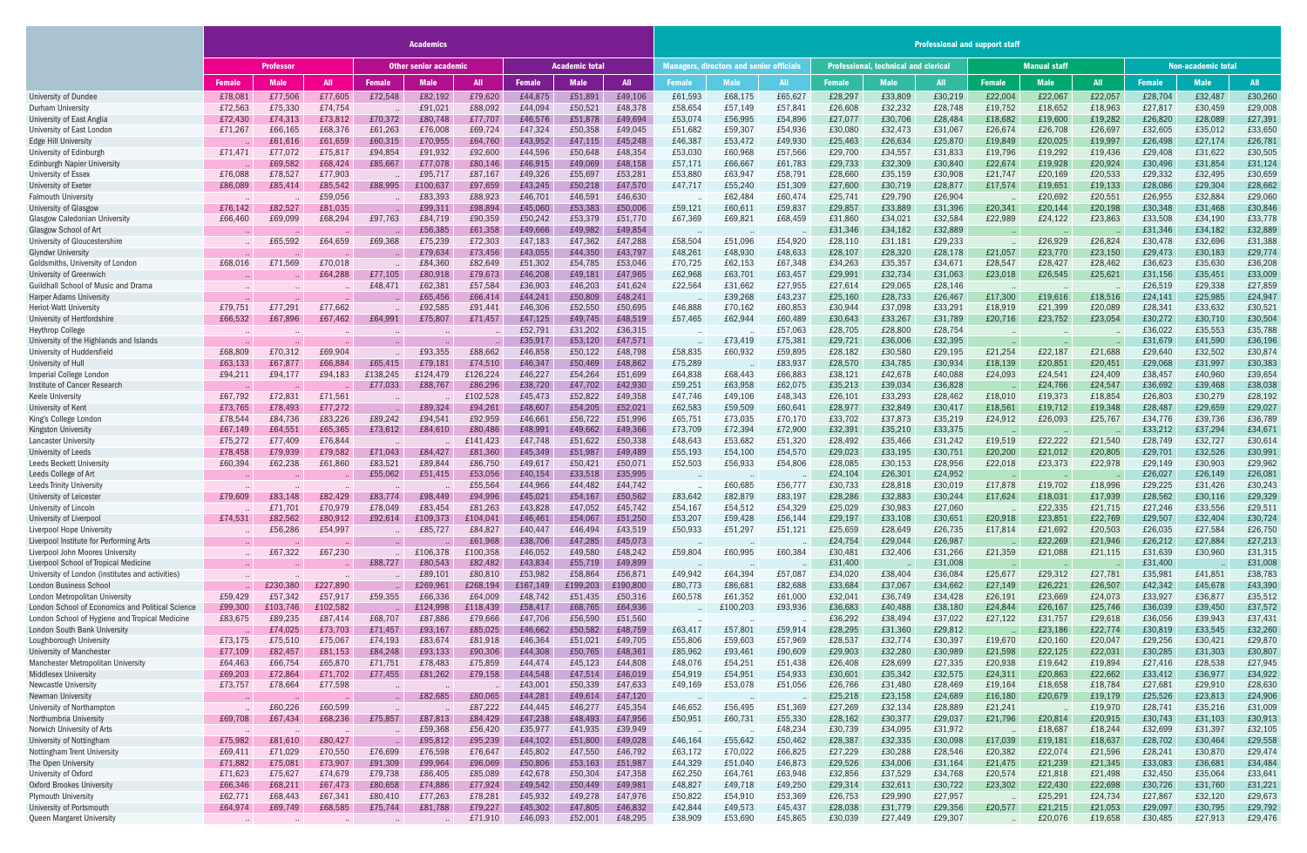|                                                                                   | <b>Academics</b>   |                    |                    |                              |                     |                     |                       |                    |                     |                                                 | <b>Professional and support staff</b> |                    |                                             |                    |                    |                     |                    |                    |                    |                    |                    |  |  |
|-----------------------------------------------------------------------------------|--------------------|--------------------|--------------------|------------------------------|---------------------|---------------------|-----------------------|--------------------|---------------------|-------------------------------------------------|---------------------------------------|--------------------|---------------------------------------------|--------------------|--------------------|---------------------|--------------------|--------------------|--------------------|--------------------|--------------------|--|--|
|                                                                                   | <b>Professor</b>   |                    |                    | <b>Other senior academic</b> |                     |                     | <b>Academic total</b> |                    |                     | <b>Managers, directors and senior officials</b> |                                       |                    | <b>Professional, technical and clerical</b> |                    |                    | <b>Manual staff</b> |                    |                    | Non-academic total |                    |                    |  |  |
|                                                                                   | <b>Female</b>      | <b>Male</b>        | <b>All</b>         | <b>Female</b>                | <b>Male</b>         | <b>All</b>          | <b>Female</b>         | <b>Male</b>        | <b>All</b>          | <b>Female</b>                                   | <b>Male</b>                           | <b>All</b>         | <b>Female</b>                               | <b>Male</b>        | All                | <b>Female</b>       | <b>Male</b>        | <b>All</b>         | <b>Female</b>      | <b>Male</b>        | <b>All</b>         |  |  |
| University of Dundee                                                              | £78,081            | £77,506            | £77,605            | £72,548                      | £82,192             | £79,620             | £44,875               | £51,891            | £49,106             | £61,593                                         | £68,175                               | £65,627            | £28,297                                     | £33,809            | £30,219            | £22,004             | £22,067            | £22,057            | £28,704            | £32,487            | £30,260            |  |  |
| Durham University                                                                 | £72,563            | £75,330            | £74,754            |                              | £91,021             | £88,092             | £44,094               | £50,521            | £48,378             | £58,654                                         | £57,149                               | £57,841            | £26,608                                     | £32,232            | £28,748            | £19,752             | £18,652            | £18,963            | £27,817            | £30,459            | £29,008            |  |  |
| University of East Anglia                                                         | £72,430            | £74,313            | £73,812            | £70,372                      | £80,748             | £77,707             | £46,576               | £51,878            | £49,694             | £53,074                                         | £56,995                               | £54,896            | £27,077                                     | £30,706            | £28,484            | £18,682             | £19,600            | £19,282            | £26,820            | £28,089            | £27,391            |  |  |
| University of East London                                                         | £71,267            | £66,165            | £68,376            | £61,263                      | £76,008             | £69,724             | £47,324               | £50,358            | £49,045             | £51,682                                         | £59,307                               | £54,936            | £30,080                                     | £32,473            | £31,067            | £26,674             | £26,708            | £26,697            | £32,605            | £35,012            | £33,650            |  |  |
| Edge Hill University                                                              |                    | £61,616            | £61,659            | £60,315                      | £70,955             | £64,760             | £43,952               | £47,115            | £45,248             | £46,387                                         | £53,472                               | £49,930            | £25,463                                     | £26,634            | £25,870            | £19,849             | £20,025            | £19,997            | £26,498            | £27,174            | £26,781            |  |  |
| University of Edinburgh                                                           | £71,471            | £77,072            | £75,817            | £94,854                      | £91,932             | £92,600             | £44,596               | £50,648            | £48,354             | £53,030                                         | £60,968                               | £57,566            | £29,700                                     | £34,557            | £31,833            | £19,796             | £19,292            | £19,436            | £29,408            | £31,622            | £30,505            |  |  |
| <b>Edinburgh Napier University</b>                                                |                    | £69,582            | £68,424            | £85,667                      | £77,078             | £80,146             | £46,915               | £49,069            | £48,158             | £57,171                                         | £66,667                               | £61,783            | £29,733                                     | £32,309            | £30,840            | £22,674             | £19,928            | £20,924            | £30,496            | £31,854            | £31,124            |  |  |
| University of Essex<br>University of Exeter                                       | £76,088<br>£86,089 | £78,527<br>£85,414 | £77,903<br>£85,542 | £88,995                      | £95,717<br>£100,637 | £87,167<br>£97,659  | £49,326<br>£43,245    | £55,697<br>£50,218 | £53,281<br>£47,570  | £53,880<br>£47,717                              | £63,947<br>£55,240                    | £58,791<br>£51,309 | £28,660<br>£27,600                          | £35,159<br>£30,719 | £30,908<br>£28,877 | £21,747<br>£17,574  | £20,169<br>£19,651 | £20,533<br>£19,133 | £29,332<br>£28,086 | £32,495<br>£29,304 | £30,659<br>£28,662 |  |  |
| <b>Falmouth University</b>                                                        |                    |                    | £59,056            |                              | £83,393             | £88,923             | £46,701               | £46,591            | £46,630             |                                                 | £62,484                               | £60,474            | £25,741                                     | £29,790            | £26,904            |                     | £20,692            | £20,551            | £26,955            | £32,884            | £29,060            |  |  |
| <b>University of Glasgow</b>                                                      | £76,142            | £82,527            | £81,035            |                              | £99,311             | £98,894             | £45,060               | £53,383            | £50,006             | £59,121                                         | £60,611                               | £59,837            | £29,857                                     | £33,889            | £31,396            | £20,341             | £20,144            | £20,198            | £30,348            | £31,468            | £30,846            |  |  |
| <b>Glasgow Caledonian University</b>                                              | £66,460            | £69,099            | £68,294            | £97,763                      | £84,719             | £90,359             | £50,242               | £53,379            | £51,770             | £67,369                                         | £69,821                               | £68,459            | £31,860                                     | £34,021            | £32,584            | £22,989             | £24,122            | £23,863            | £33,508            | £34,190            | £33,778            |  |  |
| Glasgow School of Art                                                             |                    |                    |                    |                              | £56,385             | £61,358             | £49,666               | £49,982            | £49,854             |                                                 |                                       |                    | £31,346                                     | £34,182            | £32,889            |                     |                    |                    | £31,346            | £34,182            | £32,889            |  |  |
| University of Gloucestershire                                                     |                    | £65,592            | £64,659            | £69,368                      | £75,239             | £72,303             | £47,183               | £47,362            | £47,288             | £58,504                                         | £51,096                               | £54,920            | £28,110                                     | £31,181            | £29,233            |                     | £26,929            | £26,824            | £30,478            | £32,696            | £31,388            |  |  |
| <b>Glyndwr University</b>                                                         |                    |                    |                    |                              | £79,634             | £73,456             | £43,055               | £44,350            | £43,797             | £48,261                                         | £48,930                               | £48,633            | £28,107                                     | £28,320            | £28,178            | £21,057             | £23,770            | £23,150            | £29,473            | £30,183            | £29,774            |  |  |
| Goldsmiths, University of London                                                  | £68,016            | £71,569            | £70,018            |                              | £84,360             | £82,649             | £51,302               | £54,785            | £53,046             | £70,725                                         | £62,153                               | £67,348            | £34,263                                     | £35,357            | £34,671            | £28,547             | £28,427            | £28,462            | £36,623            | £35,630            | £36,208            |  |  |
| <b>University of Greenwich</b>                                                    |                    |                    | £64,288            | £77,105                      | £80,918             | £79,673             | £46,208               | £49,181            | £47,965             | £62,968                                         | £63,701                               | £63,457            | £29,991                                     | £32,734            | £31,063            | £23,018             | £26,545            | £25,621            | £31,156            | £35,451            | £33,009            |  |  |
| Guildhall School of Music and Drama                                               |                    |                    |                    | £48,471                      | £62,381             | £57,584             | £36,903               | £46,203            | £41,624             | £22,564                                         | £31,662                               | £27,955            | £27,614                                     | £29,065            | £28,146            |                     |                    |                    | £26,519            | £29,338            | £27,859            |  |  |
| <b>Harper Adams University</b>                                                    |                    |                    |                    |                              | £65,456             | £66,414             | £44,241               | £50,809            | £48,241             |                                                 | £39,268                               | £43,237            | £25,160                                     | £28,733            | £26,467            | £17,300             | £19,616            | £18,516            | £24,141            | £25,985            | £24,947            |  |  |
| <b>Heriot-Watt University</b><br>University of Hertfordshire                      | £79,751<br>£66,532 | £77.291<br>£67,896 | £77,662<br>£67,462 | £64,991                      | £92,585<br>£75,807  | £91,441<br>£71,457  | £46,306<br>£47,125    | £52,550<br>£49,745 | £50,695<br>£48,519  | £46,888<br>£57,465                              | £70,162<br>£62,944                    | £60,853<br>£60,489 | £30,944<br>£30,643                          | £37,098<br>£33,267 | £33,291<br>£31,789 | £18,919<br>£20,716  | £21,399<br>£23,752 | £20,089<br>£23,054 | £28,341<br>£30,272 | £33,632<br>£30,710 | £30,521<br>£30,504 |  |  |
| <b>Heythrop College</b>                                                           |                    |                    |                    |                              |                     |                     | £52,791               | £31,202            | £36,315             |                                                 |                                       | £57,063            | £28,705                                     | £28,800            | £28,754            |                     |                    |                    | £36,022            | £35,553            | £35,788            |  |  |
| University of the Highlands and Islands                                           |                    |                    |                    |                              |                     |                     | £35,917               | £53,120            | £47,571             |                                                 | £73,419                               | £75,381            | £29,721                                     | £36,006            | £32,395            |                     |                    |                    | £31,679            | £41,590            | £36,196            |  |  |
| University of Huddersfield                                                        | £68,809            | £70,312            | £69,904            |                              | £93,355             | £88,662             | £46,858               | £50,122            | £48,798             | £58,835                                         | £60,932                               | £59,895            | £28,182                                     | £30,580            | £29,195            | £21,254             | £22,187            | £21,688            | £29,640            | £32,502            | £30,874            |  |  |
| University of Hul                                                                 | £63,133            | £67,877            | £66,884            | £65,415                      | £79,181             | £74,510             | £46,347               | £50,469            | £48,862             | £75,289                                         |                                       | £83,937            | £28,570                                     | £34,785            | £30,934            | £18,139             | £20,851            | £20,451            | £29,068            | £31,997            | £30,383            |  |  |
| Imperial College London                                                           | £94,211            | £94,177            | £94,183            | £138,245                     | £124,479            | £126,224            | £46,227               | £54,264            | £51,699             | £64,838                                         | £68,443                               | £66,883            | £38,121                                     | £42,678            | £40,088            | £24,093             | £24,541            | £24,409            | £38,457            | £40,960            | £39,654            |  |  |
| Institute of Cancer Research                                                      |                    |                    |                    | £77,033                      | £88,767             | £86,296             | £38,720               | £47,702            | £42,930             | £59,251                                         | £63,958                               | £62,075            | £35,213                                     | £39,034            | £36,828            |                     | £24,766            | £24,547            | £36,692            | £39,468            | £38,038            |  |  |
| <b>Keele University</b>                                                           | £67,792            | £72,831            | £71,561            |                              |                     | £102,528            | £45,473               | £52,822            | £49,358             | £47,746                                         | £49,106                               | £48,343            | £26,101                                     | £33,293            | £28,462            | £18,010             | £19,373            | £18,854            | £26,803            | £30,279            | £28,192            |  |  |
| University of Kent                                                                | £73,765            | £78,493            | £77,272            |                              | £89,324             | £94,261             | £48,607               | £54,205            | £52,021             | £62,583                                         | £59,509                               | £60,641            | £28,977                                     | £32,849            | £30,417            | £18,561             | £19,712            | £19,348            | £28,487            | £29,659            | £29,027            |  |  |
| King's College London                                                             | £78,544            | £84,736            | £83,226            | £89,242                      | £94,541             | £92,959             | £46,661               | £56,722            | £51,996             | £65,751                                         | £73,035                               | £70,170            | £33,702                                     | £37,873            | £35,219            | £24,912             | £26,093            | £25,767            | £34,776            | £39,736            | £36,789            |  |  |
| Kingston University                                                               | £67,149            | £64,551            | £65,365            | £73,612                      | £84,610             | £80,486             | £48,991               | £49,662            | £49,366             | £73,709                                         | £72,394                               | £72,900            | £32,391                                     | £35,210            | £33,375            |                     |                    |                    | £33,212            | £37,294            | £34,671            |  |  |
| Lancaster University<br>University of Leeds                                       | £75,272<br>£78,458 | £77,409<br>£79,939 | £76,844<br>£79,582 | £71,043                      | £84,427             | £141,423<br>£81,360 | £47,748<br>£45,349    | £51,622<br>£51,987 | £50,338<br>£49,489  | £48,643<br>£55,193                              | £53,682<br>£54,100                    | £51,320<br>£54,570 | £28,492<br>£29,023                          | £35,466<br>£33,195 | £31,242<br>£30,751 | £19,519<br>£20,200  | £22,222<br>£21,012 | £21,540<br>£20,805 | £28,749<br>£29,701 | £32,727<br>£32,526 | £30,614<br>£30,991 |  |  |
| Leeds Beckett University                                                          | £60,394            | £62,238            | £61,860            | £83,521                      | £89,844             | £86,750             | £49,617               | £50,421            | £50,071             | £52,503                                         | £56,933                               | £54,806            | £28,085                                     | £30,153            | £28,956            | £22,018             | £23,373            | £22,978            | £29,149            | £30,903            | £29,962            |  |  |
| Leeds College of Art                                                              |                    |                    |                    | £55,062                      | £51,415             | £53,056             | £40,154               | £33,518            | £35,995             |                                                 |                                       |                    | £24,104                                     | £26,301            | £24,952            |                     |                    |                    | £26,027            | £26,149            | £26,081            |  |  |
| <b>Leeds Trinity University</b>                                                   |                    |                    |                    |                              |                     | £55,564             | £44,966               | £44,482            | £44,742             |                                                 | £60,685                               | £56,777            | £30,733                                     | £28,818            | £30,019            | £17,878             | £19,702            | £18,996            | £29,225            | £31,426            | £30,243            |  |  |
| University of Leicester                                                           | £79,609            | £83,148            | £82,429            | £83,774                      | £98,449             | £94,996             | £45,021               | £54,167            | £50,562             | £83,642                                         | £82,879                               | £83,197            | £28,286                                     | £32,883            | £30,244            | £17,624             | £18,031            | £17,939            | £28,562            | £30,116            | £29,329            |  |  |
| University of Lincoln                                                             |                    | £71,701            | £70,979            | £78,049                      | £83,454             | £81,263             | £43,828               | £47,052            | £45,742             | £54,167                                         | £54,512                               | £54,329            | £25,029                                     | £30,983            | £27,060            |                     | £22,335            | £21,715            | £27,246            | £33,556            | £29,511            |  |  |
| University of Liverpool                                                           | £74,531            | £82,562            | £80,912            | £92,614                      | £109,373            | £104,041            | £46,461               | £54,067            | £51,250             | £53,207                                         | £59,428                               | £56,144            | £29,197                                     | £33,108            | £30,651            | £20,918             | £23,851            | £22,769            | £29,507            | £32,404            | £30,724            |  |  |
| Liverpool Hope University                                                         |                    | £56,286            | £54,997            |                              | £85,727             | £84,827             | £40,447               | £46,494            | £43,519             | £50,933                                         | £51,297                               | £51,121            | £25,659                                     | £28,649            | £26,735            | £17,814             | £21,692            | £20,503            | £26,035            | £27,584            | £26,750            |  |  |
| Liverpool Institute for Performing Arts                                           |                    |                    |                    | $\sim$                       |                     | £61,968             | £38,706               | £47,285            | £45,073             |                                                 |                                       |                    | £24,754                                     | £29,044            | £26,987            |                     | £22,269            | £21,946            | £26,212            | £27,884            | £27,213            |  |  |
| Liverpool John Moores University                                                  |                    | £67,322            | £67,230            |                              | £106,378            | £100,358            | £46,052               | £49,580            | £48,242             | £59,804                                         | £60,995                               | £60,384            | £30,481                                     | £32,406            | £31,266            | £21,359             | £21,088            | £21,115            | £31,639            | £30,960            | £31,315            |  |  |
| Liverpool School of Tropical Medicine                                             |                    |                    |                    | £88,727                      | £80,543             | £82,482             | £43,834               | £55,719<br>£58,864 | £49,899             |                                                 |                                       | £57,087            | £31,400                                     |                    | £31,008            |                     |                    | £27,781            | £31,400            | £41,851            | £31,008            |  |  |
| University of London (institutes and activities)<br><b>London Business School</b> |                    | £230,380           | £227,890           |                              | £89,101<br>£269,961 | £80,810<br>£268,194 | £53,982<br>£167,149   | £199,203           | £56,871<br>£190,800 | £49,942<br>£80,773                              | £64,394<br>£86,681                    | £82,688            | £34,020<br>£33,684                          | £38,404<br>£37,067 | £36,084<br>£34,662 | £25,677<br>£27,149  | £29,312<br>£26,221 | £26,507            | £35,981<br>£42,342 | £45,678            | £38,783<br>£43,390 |  |  |
| London Metropolitan University                                                    | £59,429            | £57,342            | £57,917            | £59,355                      | £66,336             | £64,009             | £48,742               | £51,435            | £50,316             | £60,578                                         | £61,352                               | £61,000            | £32,041                                     | £36,749            | £34,428            | £26,191             | £23,669            | £24,073            | £33,927            | £36,877            | £35,512            |  |  |
| London School of Economics and Political Science                                  | £99,300            | £103,746           | £102,582           |                              | £124,998            | £118,439            | £58,417               | £68,765            | £64,936             |                                                 | £100,203                              | £93,936            | £36,683                                     | £40,488            | £38,180            | £24,844             | £26,167            | £25,746            | £36,039            | £39,450            | £37,572            |  |  |
| London School of Hygiene and Tropical Medicine                                    | £83,675            | £89,235            | £87,414            | £68,707                      | £87,886             | £79,666             | £47,706               | £56,590            | £51,560             |                                                 |                                       |                    | £36,292                                     | £38,494            | £37,022            | £27,122             | £31,757            | £29,618            | £36,056            | £39,943            | £37,431            |  |  |
| London South Bank University                                                      |                    | £74,025            | £73,703            | £71,457                      | £93,167             | £85,025             | £46,662               | £50,582            | £48,759             | £63,417                                         | £57,801                               | £59,914            | £28,295                                     | £31,360            | £29,812            |                     | £23,186            | £22,774            | £30,819            | £33,545            | £32,260            |  |  |
| Loughborough University                                                           | £73,175            | £75,510            | £75,067            | £74,193                      | £83,674             | £81,918             | £46,364               | £51,021            | £49,705             | £55,806                                         | £59,603                               | £57,969            | £28,537                                     | £32,774            | £30,397            | £19,670             | £20,160            | £20,047            | £29,256            | £30,421            | £29,870            |  |  |
| <b>University of Manchester</b>                                                   | £77,109            | £82,457            | £81,153            | £84,248                      | £93,133             | £90,306             | £44,308               | £50,765            | £48,361             | £85,962                                         | £93,461                               | £90,609            | £29,903                                     | £32,280            | £30,989            | £21,598             | £22,125            | £22,031            | £30,285            | £31,303            | £30,807            |  |  |
| Manchester Metropolitan University                                                | £64,463            | £66,754            | £65,870            | £71,751                      | £78,483             | £75,859             | £44,474               | £45,123            | £44,808             | £48,076                                         | £54,251                               | £51,438            | £26,408                                     | £28,699            | £27,335            | £20,938             | £19,642            | £19,894            | £27,416            | £28,538            | £27,945            |  |  |
| <b>Middlesex University</b>                                                       | £69,203            | £72,864            | £71,702            | £77,455                      | £81,262             | £79,158             | £44,548               | £47,514            | £46,019             | £54,919                                         | £54,951                               | £54,933            | £30,601                                     | £35,342            | £32,575            | £24,311             | £20,863            | £22,662            | £33,412            | £36,977            | £34,922            |  |  |
| Newcastle University                                                              | £73,757            | £78,664            | £77,598            |                              |                     |                     | £43,001               | £50,339            | £47,633             | £49,169                                         | £53,078                               | £51,056            | £26,766                                     | £31,480            | £28,469            | £19,164             | £18,658            | £18,784            | £27,681            | £29,910            | £28,630            |  |  |
| Newman University                                                                 |                    |                    |                    |                              | £82,685             | £80,065             | £44,281               | £49,614            | £47,120             |                                                 |                                       |                    | £25,218                                     | £23,158            | £24,689            | £16,180             | £20,679            | £19,179            | £25,526            | £23,813            | £24,906            |  |  |
| University of Northampton<br>Northumbria University                               | £69,708            | £60,226<br>£67,434 | £60,599<br>£68,236 | £75,857                      | £87,813             | £87,222<br>£84,429  | £44,445<br>£47,238    | £46,277<br>£48,493 | £45,354<br>£47,956  | £46,652<br>£50,951                              | £56,495<br>£60,731                    | £51,369<br>£55,330 | £27,269<br>£28,162                          | £32,134<br>£30,377 | £28,889<br>£29,037 | £21,241<br>£21,796  | £20,814            | £19,970<br>£20,915 | £28,741<br>£30,743 | £35,216<br>£31,103 | £31,009<br>£30,913 |  |  |
| Norwich University of Arts                                                        |                    |                    |                    |                              | £59,368             | £56,420             | £35,977               | £41,935            | £39,949             |                                                 |                                       | £48,234            | £30,739                                     | £34,095            | £31,972            |                     | £18,687            | £18,244            | £32,699            | £31,397            | £32,105            |  |  |
| University of Nottingham                                                          | £75,982            | £81,610            | £80,427            |                              | £95,812             | £95,239             | £44,102               | £51,800            | £49,028             | £46,164                                         | £55,642                               | £50,462            | £28,387                                     | £32,335            | £30,098            | £17,039             | £19,181            | £18,637            | £28,702            | £30,464            | £29,558            |  |  |
| <b>Nottingham Trent University</b>                                                | £69,411            | £71,029            | £70,550            | £76,699                      | £76,598             | £76,647             | £45,802               | £47,550            | £46,792             | £63,172                                         | £70,022                               | £66,825            | £27,229                                     | £30,288            | £28,546            | £20,382             | £22,074            | £21,596            | £28,241            | £30,870            | £29,474            |  |  |
| The Open University                                                               | £71,882            | £75,081            | £73,907            | £91,309                      | £99,964             | £96,069             | £50,806               | £53,163            | £51,987             | £44,329                                         | £51,040                               | £46,873            | £29,526                                     | £34,006            | £31,164            | £21,475             | £21,239            | £21,345            | £33,083            | £36,681            | £34,484            |  |  |
| University of Oxford                                                              | £71,623            | £75,627            | £74,679            | £79,738                      | £86,405             | £85,089             | £42,678               | £50,304            | £47,358             | £62,250                                         | £64,761                               | £63,946            | £32,856                                     | £37,529            | £34,768            | £20,574             | £21,818            | £21,498            | £32,450            | £35,064            | £33,641            |  |  |
| <b>Oxford Brookes University</b>                                                  | £66,346            | £68,211            | £67,473            | £80,658                      | £74,886             | £77,924             | £49,542               | £50,449            | £49,981             | £48,827                                         | £49,718                               | £49,250            | £29,314                                     | £32,611            | £30,722            | £23,302             | £22,430            | £22,698            | £30,726            | £31,760            | £31,221            |  |  |
| <b>Plymouth University</b>                                                        | £62,771            | £68,443            | £67,341            | £80,410                      | £77,263             | £78,281             | £45,932               | £49,278            | £47,976             | £50,822                                         | £54,910                               | £53,369            | £26,753                                     | £29,990            | £27,957            |                     | £25,291            | £24,734            | £27,867            | £32,120            | £29,673            |  |  |
| University of Portsmouth                                                          | £64,974            | £69,749            | £68,585            | £75,744                      | £81,788             | £79,227             | £45,302               | £47,805            | £46,832             | £42,844                                         | £49,573                               | £45,437            | £28,038                                     | £31,779            | £29,356            | £20,577             | £21,215            | £21,053            | £29,097            | £30,795            | £29,792            |  |  |
| Queen Margaret Universit                                                          |                    |                    |                    |                              |                     | £71,910             | £46,093               | £52,001            | £48,295             | £38,909                                         | £53,690                               | £45,865            | £30,039                                     | £27,449            | £29,307            |                     | £20,076            | £19,658            | £30,485            | £27,913            | £29,476            |  |  |